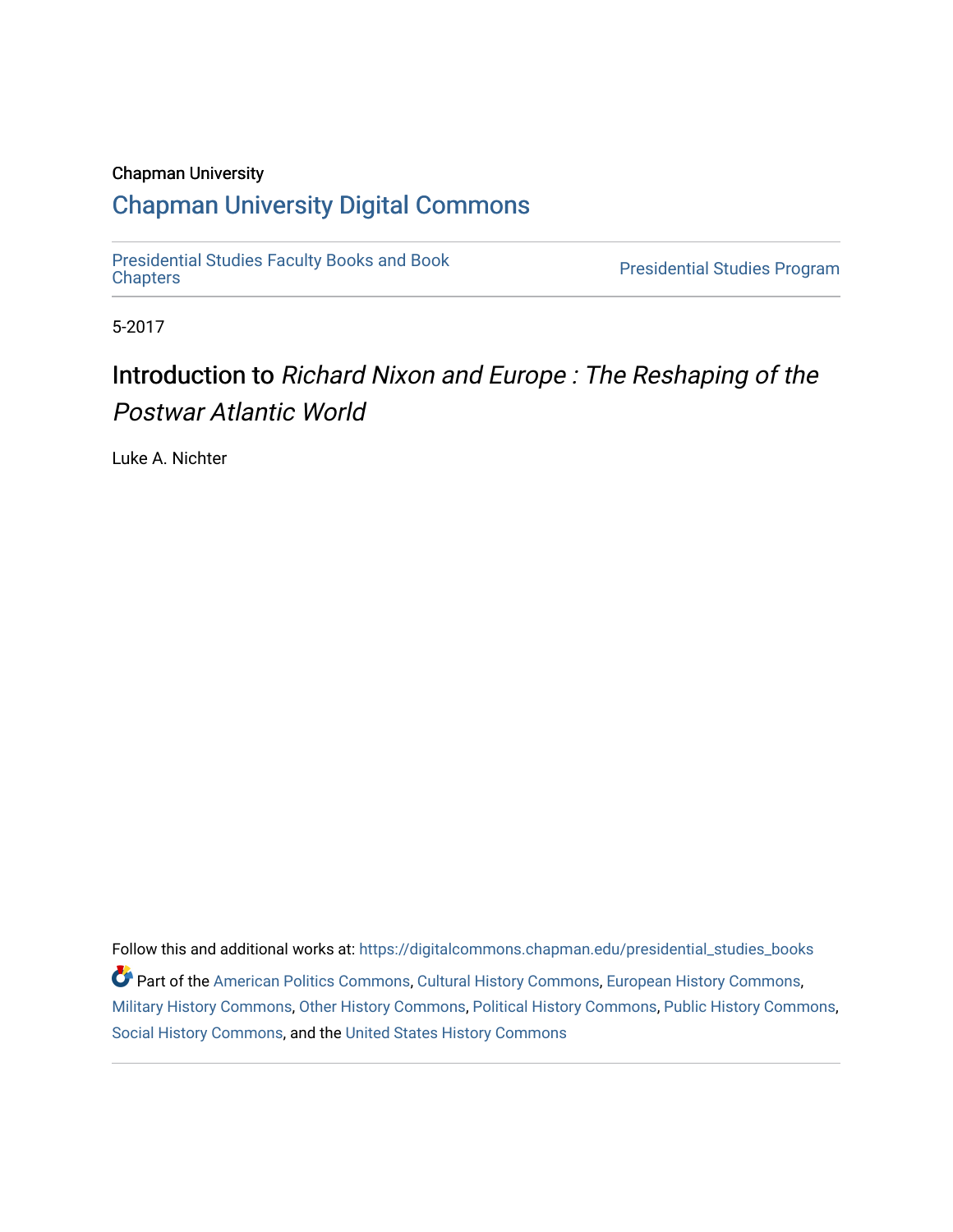## <span id="page-0-0"></span>Chapman University

# [Chapman University Digital Commons](https://digitalcommons.chapman.edu/)

[Presidential Studies Faculty Books and Book](https://digitalcommons.chapman.edu/presidential_studies_books) 

Presidential Studies Program

5-2017

# Introduction to Richard Nixon and Europe : The Reshaping of the Postwar Atlantic World

Luke A. Nichter

Follow this and additional works at: [https://digitalcommons.chapman.edu/presidential\\_studies\\_books](https://digitalcommons.chapman.edu/presidential_studies_books?utm_source=digitalcommons.chapman.edu%2Fpresidential_studies_books%2F2&utm_medium=PDF&utm_campaign=PDFCoverPages)

Part of the [American Politics Commons,](https://network.bepress.com/hgg/discipline/387?utm_source=digitalcommons.chapman.edu%2Fpresidential_studies_books%2F2&utm_medium=PDF&utm_campaign=PDFCoverPages) [Cultural History Commons](https://network.bepress.com/hgg/discipline/496?utm_source=digitalcommons.chapman.edu%2Fpresidential_studies_books%2F2&utm_medium=PDF&utm_campaign=PDFCoverPages), [European History Commons,](https://network.bepress.com/hgg/discipline/492?utm_source=digitalcommons.chapman.edu%2Fpresidential_studies_books%2F2&utm_medium=PDF&utm_campaign=PDFCoverPages) [Military History Commons,](https://network.bepress.com/hgg/discipline/504?utm_source=digitalcommons.chapman.edu%2Fpresidential_studies_books%2F2&utm_medium=PDF&utm_campaign=PDFCoverPages) [Other History Commons](https://network.bepress.com/hgg/discipline/508?utm_source=digitalcommons.chapman.edu%2Fpresidential_studies_books%2F2&utm_medium=PDF&utm_campaign=PDFCoverPages), [Political History Commons](https://network.bepress.com/hgg/discipline/505?utm_source=digitalcommons.chapman.edu%2Fpresidential_studies_books%2F2&utm_medium=PDF&utm_campaign=PDFCoverPages), [Public History Commons](https://network.bepress.com/hgg/discipline/1292?utm_source=digitalcommons.chapman.edu%2Fpresidential_studies_books%2F2&utm_medium=PDF&utm_campaign=PDFCoverPages), [Social History Commons](https://network.bepress.com/hgg/discipline/506?utm_source=digitalcommons.chapman.edu%2Fpresidential_studies_books%2F2&utm_medium=PDF&utm_campaign=PDFCoverPages), and the [United States History Commons](https://network.bepress.com/hgg/discipline/495?utm_source=digitalcommons.chapman.edu%2Fpresidential_studies_books%2F2&utm_medium=PDF&utm_campaign=PDFCoverPages)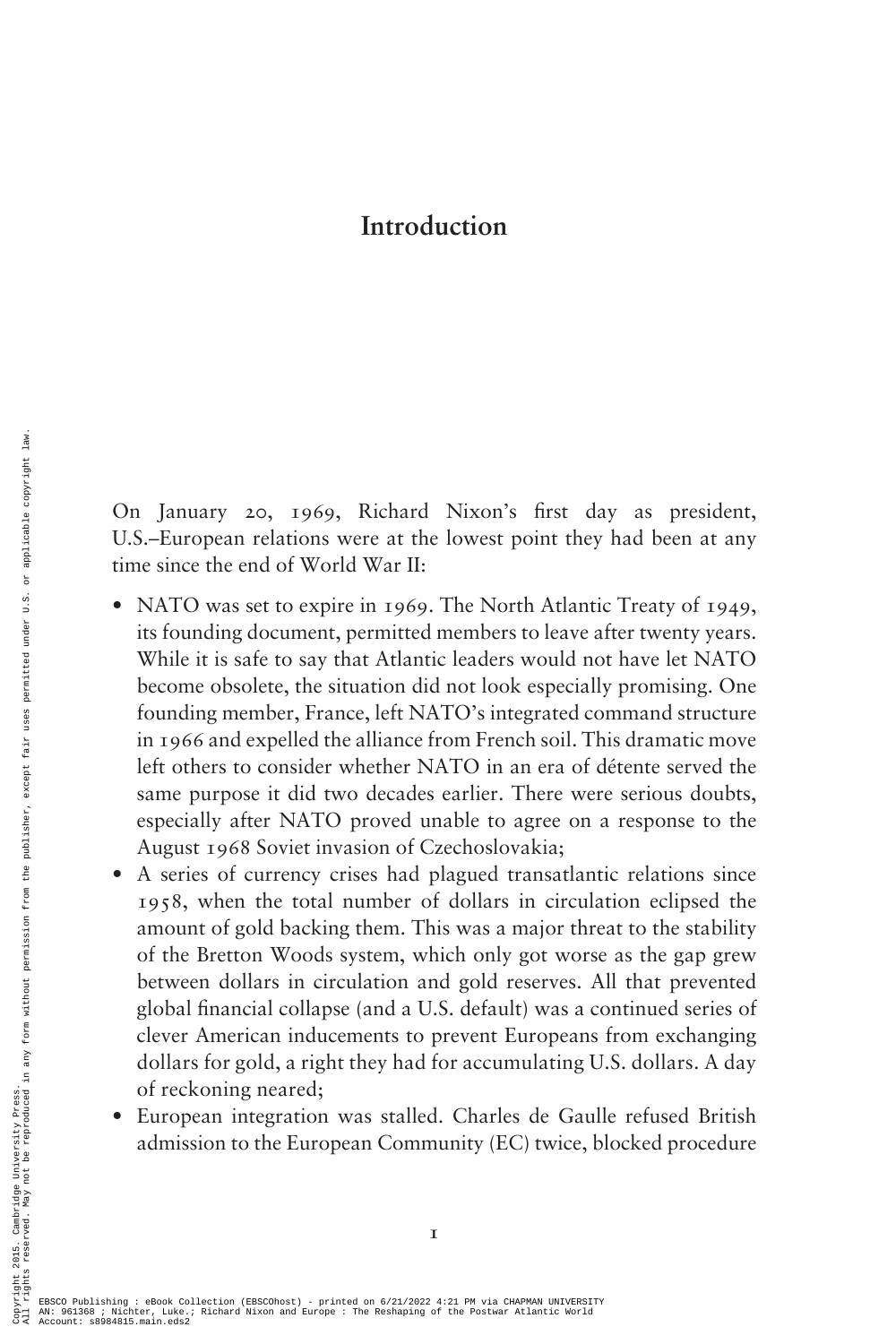### Introduction

On January 20, 1969, Richard Nixon's first day as president, U.S.–European relations were at the lowest point they had been at any time since the end of World War II:

- NATO was set to expire in 1969. The North Atlantic Treaty of 1949, its founding document, permitted members to leave after twenty years. While it is safe to say that Atlantic leaders would not have let NATO become obsolete, the situation did not look especially promising. One founding member, France, left NATO's integrated command structure in 1966 and expelled the alliance from French soil. This dramatic move left others to consider whether NATO in an era of détente served the same purpose it did two decades earlier. There were serious doubts, especially after NATO proved unable to agree on a response to the August 1968 Soviet invasion of Czechoslovakia;
- A series of currency crises had plagued transatlantic relations since 1958, when the total number of dollars in circulation eclipsed the amount of gold backing them. This was a major threat to the stability of the Bretton Woods system, which only got worse as the gap grew between dollars in circulation and gold reserves. All that prevented global financial collapse (and a U.S. default) was a continued series of clever American inducements to prevent Europeans from exchanging dollars for gold, a right they had for accumulating U.S. dollars. A day of reckoning neared;
- European integration was stalled. Charles de Gaulle refused British admission to the European Community (EC) twice, blocked procedure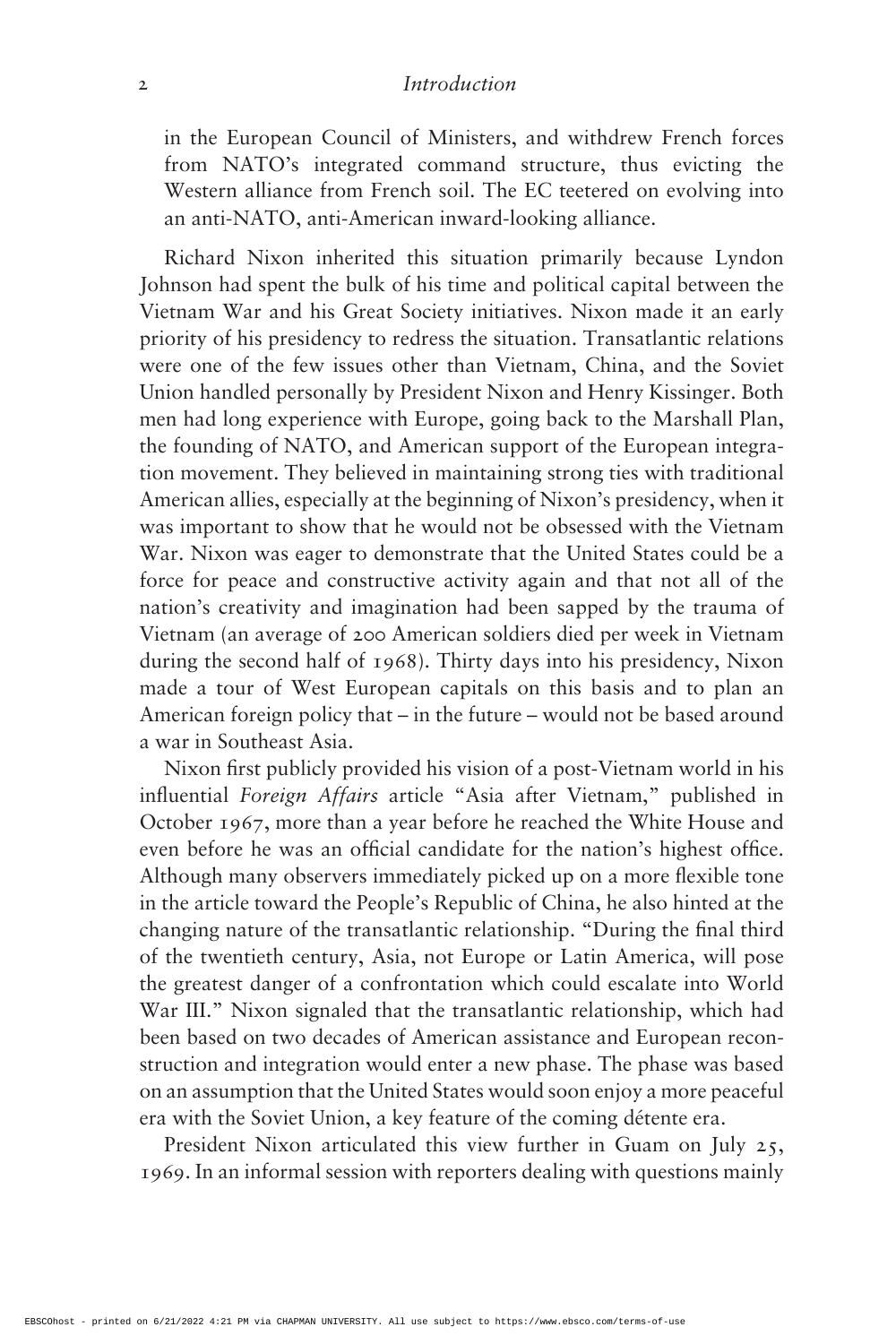#### 2 Introduction

in the European Council of Ministers, and withdrew French forces from NATO's integrated command structure, thus evicting the Western alliance from French soil. The EC teetered on evolving into an anti-NATO, anti-American inward-looking alliance.

Richard Nixon inherited this situation primarily because Lyndon Johnson had spent the bulk of his time and political capital between the Vietnam War and his Great Society initiatives. Nixon made it an early priority of his presidency to redress the situation. Transatlantic relations were one of the few issues other than Vietnam, China, and the Soviet Union handled personally by President Nixon and Henry Kissinger. Both men had long experience with Europe, going back to the Marshall Plan, the founding of NATO, and American support of the European integration movement. They believed in maintaining strong ties with traditional American allies, especially at the beginning of Nixon's presidency, when it was important to show that he would not be obsessed with the Vietnam War. Nixon was eager to demonstrate that the United States could be a force for peace and constructive activity again and that not all of the nation's creativity and imagination had been sapped by the trauma of Vietnam (an average of 200 American soldiers died per week in Vietnam during the second half of 1968). Thirty days into his presidency, Nixon made a tour of West European capitals on this basis and to plan an American foreign policy that – in the future – would not be based around a war in Southeast Asia.

Nixon first publicly provided his vision of a post-Vietnam world in his influential Foreign Affairs article "Asia after Vietnam," published in October 1967, more than a year before he reached the White House and even before he was an official candidate for the nation's highest office. Although many observers immediately picked up on a more flexible tone in the article toward the People's Republic of China, he also hinted at the changing nature of the transatlantic relationship. "During the final third of the twentieth century, Asia, not Europe or Latin America, will pose the greatest danger of a confrontation which could escalate into World War III." Nixon signaled that the transatlantic relationship, which had been based on two decades of American assistance and European reconstruction and integration would enter a new phase. The phase was based on an assumption that the United States would soon enjoy a more peaceful era with the Soviet Union, a key feature of the coming détente era.

President Nixon articulated this view further in Guam on July 25, 1969. In an informal session with reporters dealing with questions mainly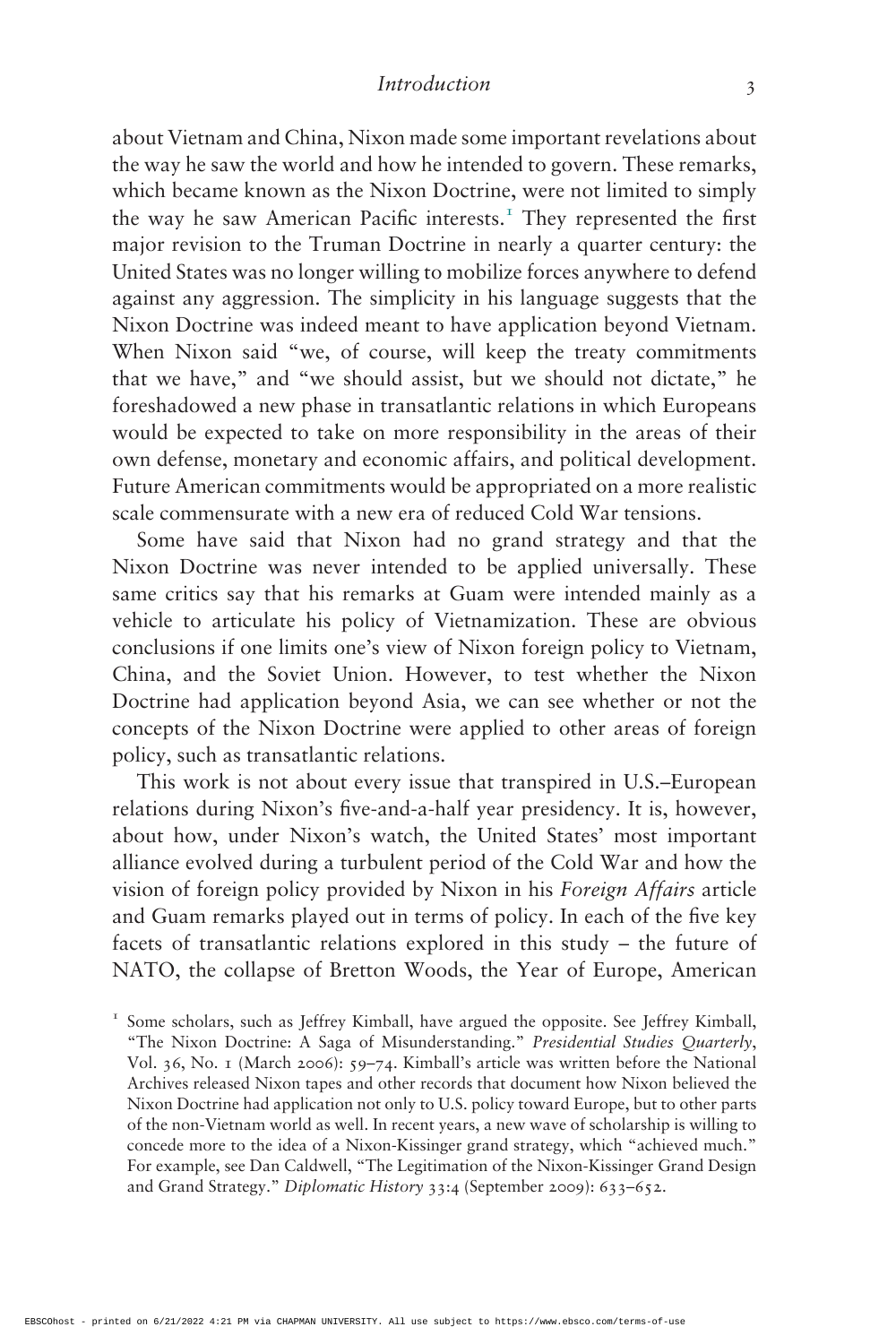about Vietnam and China, Nixon made some important revelations about the way he saw the world and how he intended to govern. These remarks, which became known as the Nixon Doctrine, were not limited to simply the way he saw American Pacific interests.<sup>[1](#page-0-0)</sup> They represented the first major revision to the Truman Doctrine in nearly a quarter century: the United States was no longer willing to mobilize forces anywhere to defend against any aggression. The simplicity in his language suggests that the Nixon Doctrine was indeed meant to have application beyond Vietnam. When Nixon said "we, of course, will keep the treaty commitments that we have," and "we should assist, but we should not dictate," he foreshadowed a new phase in transatlantic relations in which Europeans would be expected to take on more responsibility in the areas of their own defense, monetary and economic affairs, and political development. Future American commitments would be appropriated on a more realistic scale commensurate with a new era of reduced Cold War tensions.

Some have said that Nixon had no grand strategy and that the Nixon Doctrine was never intended to be applied universally. These same critics say that his remarks at Guam were intended mainly as a vehicle to articulate his policy of Vietnamization. These are obvious conclusions if one limits one's view of Nixon foreign policy to Vietnam, China, and the Soviet Union. However, to test whether the Nixon Doctrine had application beyond Asia, we can see whether or not the concepts of the Nixon Doctrine were applied to other areas of foreign policy, such as transatlantic relations.

This work is not about every issue that transpired in U.S.–European relations during Nixon's five-and-a-half year presidency. It is, however, about how, under Nixon's watch, the United States' most important alliance evolved during a turbulent period of the Cold War and how the vision of foreign policy provided by Nixon in his Foreign Affairs article and Guam remarks played out in terms of policy. In each of the five key facets of transatlantic relations explored in this study – the future of NATO, the collapse of Bretton Woods, the Year of Europe, American

 $I<sup>T</sup>$  Some scholars, such as Jeffrey Kimball, have argued the opposite. See Jeffrey Kimball, "The Nixon Doctrine: A Saga of Misunderstanding." Presidential Studies Quarterly, Vol. 36, No. 1 (March 2006): 59–74. Kimball's article was written before the National Archives released Nixon tapes and other records that document how Nixon believed the Nixon Doctrine had application not only to U.S. policy toward Europe, but to other parts of the non-Vietnam world as well. In recent years, a new wave of scholarship is willing to concede more to the idea of a Nixon-Kissinger grand strategy, which "achieved much." For example, see Dan Caldwell, "The Legitimation of the Nixon-Kissinger Grand Design and Grand Strategy." Diplomatic History 33:4 (September 2009): 633–652.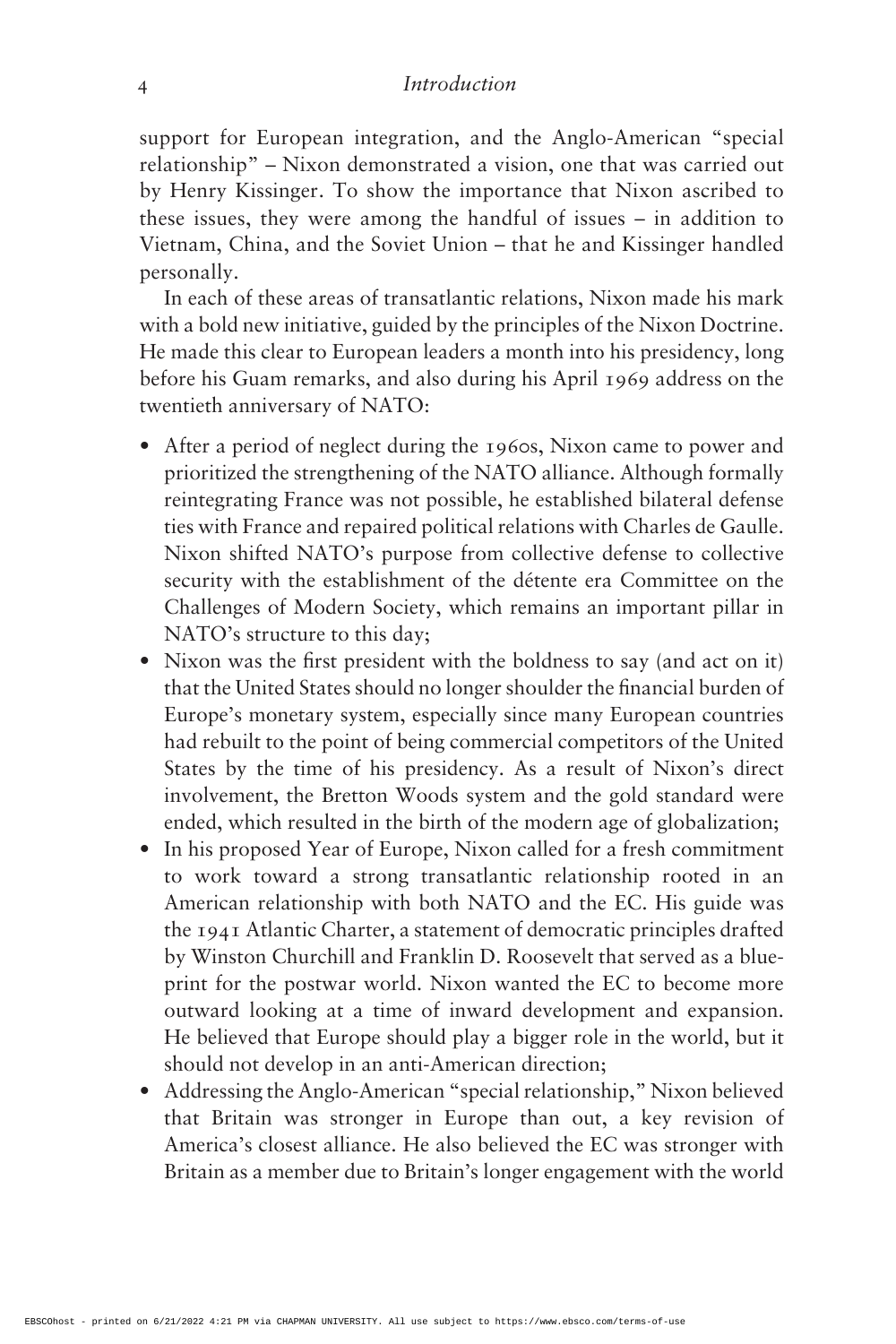support for European integration, and the Anglo-American "special relationship" – Nixon demonstrated a vision, one that was carried out by Henry Kissinger. To show the importance that Nixon ascribed to these issues, they were among the handful of issues – in addition to Vietnam, China, and the Soviet Union – that he and Kissinger handled personally.

In each of these areas of transatlantic relations, Nixon made his mark with a bold new initiative, guided by the principles of the Nixon Doctrine. He made this clear to European leaders a month into his presidency, long before his Guam remarks, and also during his April 1969 address on the twentieth anniversary of NATO:

- After a period of neglect during the 1960s, Nixon came to power and prioritized the strengthening of the NATO alliance. Although formally reintegrating France was not possible, he established bilateral defense ties with France and repaired political relations with Charles de Gaulle. Nixon shifted NATO's purpose from collective defense to collective security with the establishment of the détente era Committee on the Challenges of Modern Society, which remains an important pillar in NATO's structure to this day;
- Nixon was the first president with the boldness to say (and act on it) that the United States should no longer shoulder the financial burden of Europe's monetary system, especially since many European countries had rebuilt to the point of being commercial competitors of the United States by the time of his presidency. As a result of Nixon's direct involvement, the Bretton Woods system and the gold standard were ended, which resulted in the birth of the modern age of globalization;
- In his proposed Year of Europe, Nixon called for a fresh commitment to work toward a strong transatlantic relationship rooted in an American relationship with both NATO and the EC. His guide was the 1941 Atlantic Charter, a statement of democratic principles drafted by Winston Churchill and Franklin D. Roosevelt that served as a blueprint for the postwar world. Nixon wanted the EC to become more outward looking at a time of inward development and expansion. He believed that Europe should play a bigger role in the world, but it should not develop in an anti-American direction;
- Addressing the Anglo-American "special relationship," Nixon believed that Britain was stronger in Europe than out, a key revision of America's closest alliance. He also believed the EC was stronger with Britain as a member due to Britain's longer engagement with the world